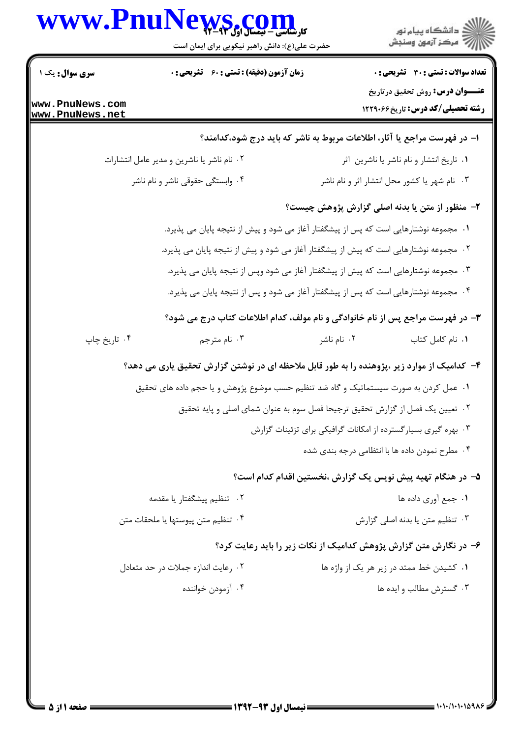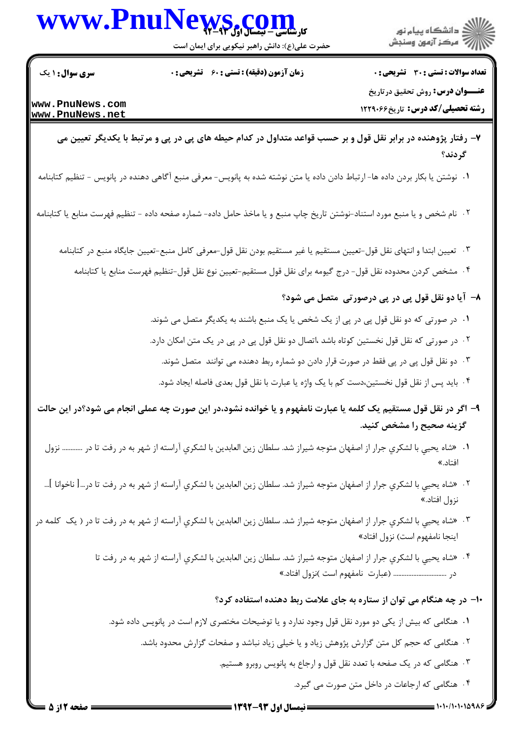



حضرت علی(ع): دانش راهبر نیکویی برای ایمان است

**تعداد سوالات : تستی : 30 ٪ تشریحی : 0 عنـــوان درس: روش تحقیق درتاریخ** 

**رشته تحصیلی/کد درس:** تاریخ44,1229

**زمان آزمون (دقیقه) : تستی : 60 ٪ تشریحی : 0** 

**سری سوال :** ۱ یک

www.PnuNews.com www.PnuNews.net

- ۷– رفتار پژوهنده در برابر نقل قول و بر حسب قواعد متداول در کدام حیطه های پی در پی و مرتبط با یکدیگر تعیین می گر دند؟
- 1. نوشتن یا بکار بردن داده ها- ارتباط دادن داده یا متن نوشته شده به پانویس- معرفی منبع آگاهی دهنده در پانویس تنظیم کتابنامه
- ۲ . نام شخص و یا منبع مورد استناد-نوشتن تاریخ چاپ منبع و یا ماخذ حامل داده- شماره صفحه داده تنظیم فهرست منابع یا کتابنامه
	- ۰۳ تعيين ابتدا و انتهاى نقل قول-تعيين مستقيم يا غير مستقيم بودن نقل قول-معرفى كامل منبع-تعيين جايگاه منبع در كتابنامه
		- ۰۴ مشخص کردن محدوده نقل قول- درج گیومه برای نقل قول مستقیم-تعیین نوع نقل قول-تنظیم فهرست منابع یا کتابنامه
			- ٨- آيا دو نقل قول پي در پي درصورتي متصل مي شود؟
			- ۰۱ در صورتی که دو نقل قول پی در پی از یک شخص یا یک منبع باشند به یکدیگر متصل می شوند.
			- ۰۲ در صورتی که نقل قول نخستین کوتاه باشد ،اتصال دو نقل قول پی در پی در یک متن امکان دارد.
				- ۰۳ دو نقل قول پی در پی فقط در صورت قرار دادن دو شماره ربط دهنده می توانند متصل شوند.
				- ۰۴ باید پس از نقل قول نخستین،دست کم با یک واژه یا عبارت با نقل قول بعدی فاصله ایجاد شود.
- ۹- اگر در نقل قول مستقیم یک کلمه یا عبارت نامفهوم و یا خوانده نشود،در این صورت چه عملی انجام می شود؟در این حالت گزینه صحیح را مشخص کنید.
- ۰۱ «شاه يحيى با لشكرى جرار از اصفهان متوجه شيراز شد. سلطان زين العابدين با لشكرى آراسته از شهر به در رفت تا در ………… نزول افتاد.»
- ۰۲ «شاه يحيي با لشكرى جرار از اصفهان متوجه شيراز شد. سلطان زين العابدين با لشكرى آراسته از شهر به در رفت تا در…[ ناخوانا ]… نزول افتاد.»
- ۰۲ «شاه یحیی با لشکری جرار از اصفهان متوجه شیراز شد. سلطان زین العابدین با لشکری آراسته از شهر به در رفت تا در ( یک کلمه در اینجا نامفهوم است) نزول افتاد»
	- ۴ . «شاه يحيى با لشكرى جرار از اصفهان متوجه شيراز شد. سلطان زين العابدين با لشكرى آراسته از شهر به در رفت تا در .............................. (عبارت نامفهوم است )نزول افتاد.»
		- ۱۰– در چه هنگام می توان از ستاره به جای علامت ربط دهنده استفاده کرد؟
		- ۰۱ هنگامی که بیش از یکی دو مورد نقل قول وجود ندارد و یا توضیحات مختصری لازم است در پانویس داده شود.
			- ۲ . هنگامی که حجم کل متن گزارش پژوهش زیاد و یا خیلی زیاد نباشد و صفحات گزارش محدود باشد.
				- ۰۳ هنگامی که در یک صفحه با تعدد نقل قول و ارجاع به پانویس روبرو هستیم.
					- ۴. هنگامی که ارجاعات در داخل متن صورت می گیرد.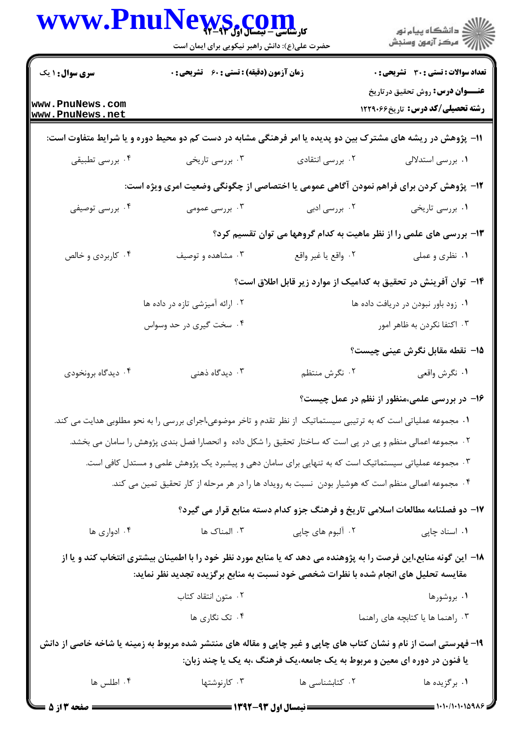|                                                                                                                                                                                                          | WWW.PnuNews.com<br>حضرت علی(ع): دانش راهبر نیکویی برای ایمان است                                                  |                                                                                                  | ڪ دانشڪاه پيام نور<br>/7 مرڪز آزمون وسنڊش                                     |  |  |
|----------------------------------------------------------------------------------------------------------------------------------------------------------------------------------------------------------|-------------------------------------------------------------------------------------------------------------------|--------------------------------------------------------------------------------------------------|-------------------------------------------------------------------------------|--|--|
| <b>سری سوال : ۱ یک</b>                                                                                                                                                                                   |                                                                                                                   | <b>زمان آزمون (دقیقه) : تستی : 60 تشریحی : 0</b><br><b>تعداد سوالات : تستی : 30 ٪ تشریحی : 0</b> |                                                                               |  |  |
| www.PnuNews.com<br>www.PnuNews.net                                                                                                                                                                       |                                                                                                                   |                                                                                                  | <b>عنـــوان درس:</b> روش تحقیق درتاریخ<br>رشته تحصیلی/کد درس: تاریخ ۱۲۲۹۰۶۶   |  |  |
| 11– پژوهش در ریشه های مشترک بین دو پدیده یا امر فرهنگی مشابه در دست کم دو محیط دوره و یا شرایط متفاوت است:                                                                                               |                                                                                                                   |                                                                                                  |                                                                               |  |  |
| ۰۴ بررسی تطبیقی                                                                                                                                                                                          | ۰۳ بررسی تاریخی                                                                                                   | ۰۲ بررسی انتقادی                                                                                 | ۰۱ بررسی استدلالی                                                             |  |  |
| ۱۲- پژوهش کردن برای فراهم نمودن آگاهی عمومی یا اختصاصی از چگونگی وضعیت امری ویژه است:                                                                                                                    |                                                                                                                   |                                                                                                  |                                                                               |  |  |
| ۰۴ بررسی توصیفی                                                                                                                                                                                          | ۰۳ بررسی عمومی                                                                                                    | ۰۲ بررسی ادبی                                                                                    | ۰۱ بررسی تاریخی                                                               |  |  |
|                                                                                                                                                                                                          |                                                                                                                   |                                                                                                  | ۱۳- بررسی های علمی را از نظر ماهیت به کدام گروهها می توان تقسیم کرد؟          |  |  |
| ۰۴ کاربردی و خالص                                                                                                                                                                                        | ۰۳ مشاهده و توصیف                                                                                                 | ٢. واقع يا غير واقع                                                                              | ۰۱ نظری و عملی                                                                |  |  |
|                                                                                                                                                                                                          |                                                                                                                   |                                                                                                  | ۱۴– توان آفرینش در تحقیق به کدامیک از موارد زیر قابل اطلاق است؟               |  |  |
|                                                                                                                                                                                                          | ۰۲ ارائه آمیزشی تازه در داده ها                                                                                   |                                                                                                  | ٠١ زود باور نبودن در دريافت داده ها                                           |  |  |
|                                                                                                                                                                                                          | ۰۴ سخت گیری در حد وسواس                                                                                           |                                                                                                  | ۰۳ اکتفا نکردن به ظاهر امور                                                   |  |  |
|                                                                                                                                                                                                          |                                                                                                                   |                                                                                                  | 1۵– نقطه مقابل نگرش عینی چیست؟                                                |  |  |
| ۰۴ دیدگاه برونخودی                                                                                                                                                                                       | ۰۳ دیدگاه ذهنی                                                                                                    | ۰۲ نگرش منتظم                                                                                    | ٠١ نگرش واقعي                                                                 |  |  |
|                                                                                                                                                                                                          |                                                                                                                   |                                                                                                  | ۱۶– در بررسی علمی،منظور از نظم در عمل چیست؟                                   |  |  |
|                                                                                                                                                                                                          | ۰۱ مجموعه عملیاتی است که به ترتیبی سیستماتیک از نظر تقدم و تاخر موضوعی،اجرای بررسی را به نحو مطلوبی هدایت می کند. |                                                                                                  |                                                                               |  |  |
|                                                                                                                                                                                                          | ۰۲ مجموعه اعمالی منظم و پی در پی است که ساختار تحقیق را شکل داده ً و انحصارا فصل بندی پژوهش را سامان می بخشد.     |                                                                                                  |                                                                               |  |  |
|                                                                                                                                                                                                          | ۰۳ مجموعه عملیاتی سیستماتیک است که به تنهایی برای سامان دهی و پیشبرد یک پژوهش علمی و مستدل کافی است.              |                                                                                                  |                                                                               |  |  |
| ۰۴ مجموعه اعمالی منظم است که هوشیار بودن  نسبت به رویداد ها را در هر مرحله از کار تحقیق تمین می کند.                                                                                                     |                                                                                                                   |                                                                                                  |                                                                               |  |  |
|                                                                                                                                                                                                          |                                                                                                                   |                                                                                                  | ۱۷- دو فصلنامه مطالعات اسلامی تاریخ و فرهنگ جزو کدام دسته منابع قرار می گیرد؟ |  |  |
| ۰۴ ادواری ها                                                                                                                                                                                             | ۰۳ المناک ها                                                                                                      | ۰۲ آلبوم های چاپی                                                                                | ۰۱ اسناد چاپی                                                                 |  |  |
| ۱۸– این گونه منابع،این فرصت را به پژوهنده می دهد که یا منابع مورد نظر خود را با اطمینان بیشتری انتخاب کند و یا از<br>مقایسه تحلیل های انجام شده با نظرات شخصی خود نسبت به منابع برگزیده تجدید نظر نماید: |                                                                                                                   |                                                                                                  |                                                                               |  |  |
|                                                                                                                                                                                                          | ۰۲ متون انتقاد کتاب                                                                                               |                                                                                                  | ۰۱ بروشورها                                                                   |  |  |
|                                                                                                                                                                                                          | ۰۴ تک نگاری ها                                                                                                    |                                                                                                  | ۰۳ راهنما ها یا کتابچه های راهنما                                             |  |  |
|                                                                                                                                                                                                          | ۱۹- فهرستی است از نام و نشان کتاب های چاپی و غیر چاپی و مقاله های منتشر شده مربوط به زمینه یا شاخه خاصی از دانش   |                                                                                                  |                                                                               |  |  |
|                                                                                                                                                                                                          |                                                                                                                   | یا فنون در دوره ای معین و مربوط به یک جامعه،یک فرهنگ ،به یک یا چند زبان:                         |                                                                               |  |  |
| ۰۴ اطلس ها                                                                                                                                                                                               | ۰۳ کارنوشتها                                                                                                      | ۰۲ کتابشناسی ها                                                                                  | ۰۱ برگزیده ها                                                                 |  |  |
|                                                                                                                                                                                                          |                                                                                                                   |                                                                                                  |                                                                               |  |  |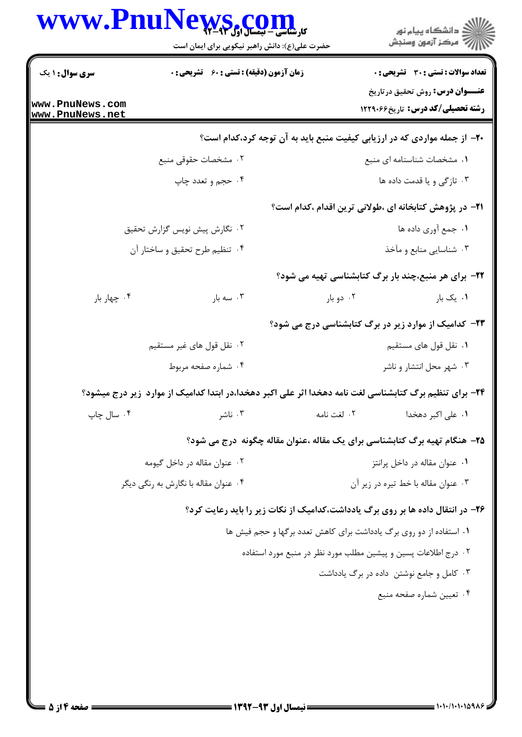|                                                  | حضرت علی(ع): دانش راهبر نیکویی برای ایمان است                                                           | <b>WS COIN</b>                                                                 | ڪ دانشڪاه پيام نور<br>ر∕ آزمون وسنڊش                                                |
|--------------------------------------------------|---------------------------------------------------------------------------------------------------------|--------------------------------------------------------------------------------|-------------------------------------------------------------------------------------|
| <b>سری سوال : ۱ یک</b>                           | زمان آزمون (دقیقه) : تستی : 60 ٪ تشریحی : 0                                                             |                                                                                | <b>تعداد سوالات : تستی : 30 ٪ تشریحی : 0</b>                                        |
| www.PnuNews.com<br>www.PnuNews.net               |                                                                                                         |                                                                                | <b>عنـــوان درس:</b> روش تحقیق در تاریخ<br><b>رشته تحصیلی/کد درس:</b> تاریخ47291 12 |
|                                                  |                                                                                                         | +۲- از جمله مواردی که در ارزیابی کیفیت منبع باید به آن توجه کرد،کدام است؟      |                                                                                     |
|                                                  | ۰۲ مشخصات حقوقی منبع                                                                                    |                                                                                | ٠١ مشخصات شناسنامه ای منبع                                                          |
|                                                  | ۰۴ حجم و تعدد چاپ                                                                                       |                                                                                | ۰۳ تازگی و یا قدمت داده ها                                                          |
|                                                  |                                                                                                         | <b>۲۱</b> - در پژوهش کتابخانه ای ،طولانی ترین اقدام ،کدام است؟                 |                                                                                     |
| ۰۲ نگارش پیش نویس گزارش تحقیق                    |                                                                                                         | ٠١. جمع أوري داده ها                                                           |                                                                                     |
| ۰۴ تنظیم طرح تحقیق و ساختار آن                   |                                                                                                         |                                                                                | ۰۳ شناسایی منابع و مآخذ                                                             |
|                                                  |                                                                                                         | ۲۲- برای هر منبع،چند بار برگ کتابشناسی تهیه می شود؟                            |                                                                                     |
| ۰۴ چهار بار                                      | ۰۳ سه بار                                                                                               | ۰۲ دو بار                                                                      | ۰۱ یک بار                                                                           |
|                                                  |                                                                                                         | <b>۲۳</b> - کدامیک از موارد زیر در برگ کتابشناسی درج می شود؟                   |                                                                                     |
| ۰۲ نقل قول های غیر مستقیم<br>۰۴ شماره صفحه مربوط |                                                                                                         |                                                                                | ۰۱ نقل قول های مستقیم                                                               |
|                                                  |                                                                                                         |                                                                                | ۰۳ شهر محل انتشار و ناشر                                                            |
|                                                  | ۲۴- برای تنظیم برگ کتابشناسی لغت نامه دهخدا اثر علی اکبر دهخدا،در ابتدا کدامیک از موارد ًزیر درج میشود؟ |                                                                                |                                                                                     |
| ۰۴ سال چاپ                                       | ۰۳ ناشر                                                                                                 | ٠٢ لغت نامه                                                                    | ۰۱ علی اکبر دهخدا                                                                   |
|                                                  |                                                                                                         | ۲۵– هنگام تهیه برگ کتابشناسی برای یک مقاله ،عنوان مقاله چگونه درج می شود؟      |                                                                                     |
| ۰۲ عنوان مقاله در داخل گیومه                     |                                                                                                         |                                                                                | ۰۱ عنوان مقاله در داخل پرانتز                                                       |
| ۰۴ عنوان مقاله با نگارش به رنگی دیگر             |                                                                                                         |                                                                                | ۰۳ عنوان مقاله با خط تیره در زیر آن                                                 |
|                                                  |                                                                                                         | ۲۶- در انتقال داده ها بر روی برگ یادداشت،کدامیک از نکات زیر را باید رعایت کرد؟ |                                                                                     |
|                                                  |                                                                                                         | ۰۱ استفاده از دو روی برگ یادداشت برای کاهش تعدد برگها و حجم فیش ها             |                                                                                     |
|                                                  |                                                                                                         | ۰۲ درج اطلاعات پسین و پیشین مطلب مورد نظر در منبع مورد استفاده                 |                                                                                     |
|                                                  |                                                                                                         |                                                                                | ۰۳ کامل و جامع نوشتن داده در برگ یادداشت                                            |
|                                                  |                                                                                                         |                                                                                | ۰۴ تعيين شماره صفحه منبع                                                            |

 $\blacksquare$